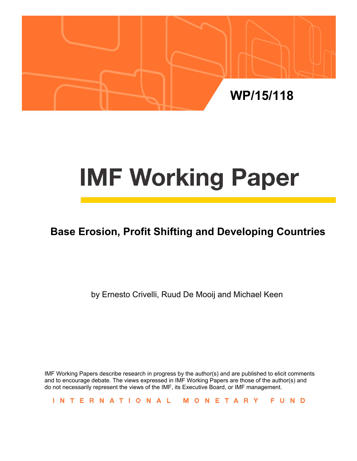

# **IMF Working Paper**

# **Base Erosion, Profit Shifting and Developing Countries**

by Ernesto Crivelli, Ruud De Mooij and Michael Keen

IMF Working Papers describe research in progress by the author(s) and are published to elicit comments and to encourage debate. The views expressed in IMF Working Papers are those of the author(s) and do not necessarily represent the views of the IMF, its Executive Board, or IMF management.

INTERNATIONAL MONETARY FUND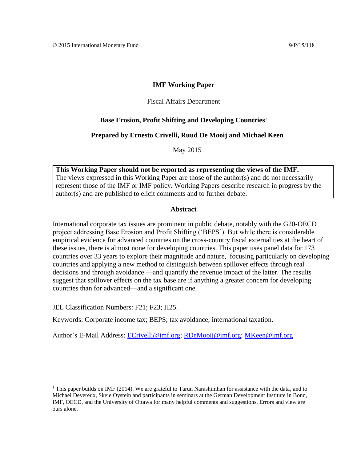#### **IMF Working Paper**

#### Fiscal Affairs Department

#### **Base Erosion, Profit Shifting and Developing Countries<sup>1</sup>**

#### **Prepared by Ernesto Crivelli, Ruud De Mooij and Michael Keen**

May 2015

**This Working Paper should not be reported as representing the views of the IMF.** The views expressed in this Working Paper are those of the author(s) and do not necessarily represent those of the IMF or IMF policy. Working Papers describe research in progress by the author(s) and are published to elicit comments and to further debate.

#### **Abstract**

International corporate tax issues are prominent in public debate, notably with the G20-OECD project addressing Base Erosion and Profit Shifting ('BEPS'). But while there is considerable empirical evidence for advanced countries on the cross-country fiscal externalities at the heart of these issues, there is almost none for developing countries. This paper uses panel data for 173 countries over 33 years to explore their magnitude and nature, focusing particularly on developing countries and applying a new method to distinguish between spillover effects through real decisions and through avoidance —and quantify the revenue impact of the latter. The results suggest that spillover effects on the tax base are if anything a greater concern for developing countries than for advanced—and a significant one.

JEL Classification Numbers: F21; F23; H25.

Keywords: Corporate income tax; BEPS; tax avoidance; international taxation.

Author's E-Mail Address: [ECrivelli@imf.org;](mailto:ECrivelli@imf.org) [RDeMooij@imf.org;](mailto:RDeMooij@imf.org) [MKeen@imf.org](mailto:MKeen@imf.org)

<sup>&</sup>lt;sup>1</sup> This paper builds on IMF (2014). We are grateful to Tarun Narashimhan for assistance with the data, and to Michael Devereux, Skeie Oystein and participants in seminars at the German Development Institute in Bonn, IMF, OECD, and the University of Ottawa for many helpful comments and suggestions. Errors and view are ours alone.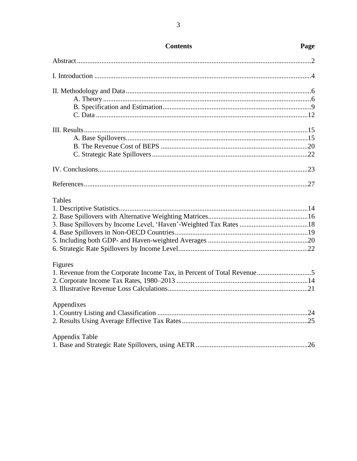| <b>Tables</b>                                                          |  |
|------------------------------------------------------------------------|--|
|                                                                        |  |
|                                                                        |  |
|                                                                        |  |
|                                                                        |  |
|                                                                        |  |
|                                                                        |  |
| Figures                                                                |  |
| 1. Revenue from the Corporate Income Tax, in Percent of Total Revenue5 |  |
|                                                                        |  |
|                                                                        |  |
| Appendixes                                                             |  |
|                                                                        |  |
|                                                                        |  |
| Appendix Table                                                         |  |
|                                                                        |  |

### **Contents**

## Page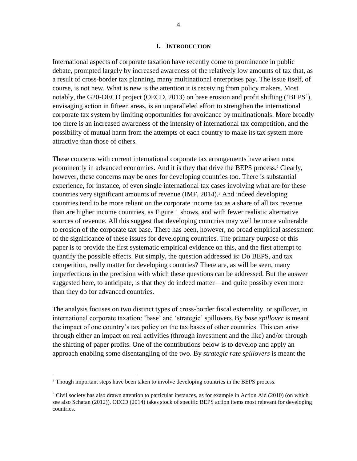#### **I. INTRODUCTION**

International aspects of corporate taxation have recently come to prominence in public debate, prompted largely by increased awareness of the relatively low amounts of tax that, as a result of cross-border tax planning, many multinational enterprises pay. The issue itself, of course, is not new. What is new is the attention it is receiving from policy makers. Most notably, the G20-OECD project (OECD, 2013) on base erosion and profit shifting ('BEPS'), envisaging action in fifteen areas, is an unparalleled effort to strengthen the international corporate tax system by limiting opportunities for avoidance by multinationals. More broadly too there is an increased awareness of the intensity of international tax competition, and the possibility of mutual harm from the attempts of each country to make its tax system more attractive than those of others.

These concerns with current international corporate tax arrangements have arisen most prominently in advanced economies. And it is they that drive the BEPS process.<sup>2</sup> Clearly, however, these concerns may be ones for developing countries too. There is substantial experience, for instance, of even single international tax cases involving what are for these countries very significant amounts of revenue (IMF, 2014).<sup>3</sup> And indeed developing countries tend to be more reliant on the corporate income tax as a share of all tax revenue than are higher income countries, as Figure 1 shows, and with fewer realistic alternative sources of revenue. All this suggest that developing countries may well be more vulnerable to erosion of the corporate tax base. There has been, however, no broad empirical assessment of the significance of these issues for developing countries. The primary purpose of this paper is to provide the first systematic empirical evidence on this, and the first attempt to quantify the possible effects. Put simply, the question addressed is: Do BEPS, and tax competition, really matter for developing countries? There are, as will be seen, many imperfections in the precision with which these questions can be addressed. But the answer suggested here, to anticipate, is that they do indeed matter—and quite possibly even more than they do for advanced countries.

The analysis focuses on two distinct types of cross-border fiscal externality, or spillover, in international corporate taxation: 'base' and 'strategic' spillovers.By *base spillover* is meant the impact of one country's tax policy on the tax bases of other countries. This can arise through either an impact on real activities (through investment and the like) and/or through the shifting of paper profits. One of the contributions below is to develop and apply an approach enabling some disentangling of the two. By *strategic rate spillovers* is meant the

 $<sup>2</sup>$  Though important steps have been taken to involve developing countries in the BEPS process.</sup>

 $3$  Civil society has also drawn attention to particular instances, as for example in Action Aid (2010) (on which see also Schatan (2012)). OECD (2014) takes stock of specific BEPS action items most relevant for developing countries.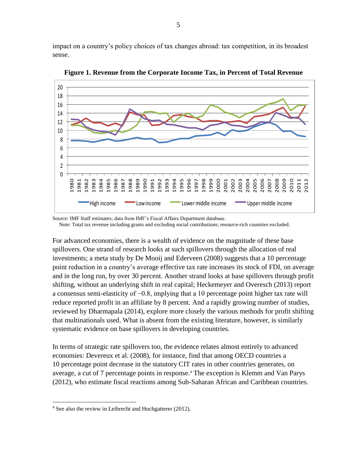impact on a country's policy choices of tax changes abroad: tax competition, in its broadest sense.



**Figure 1. Revenue from the Corporate Income Tax, in Percent of Total Revenue**

Source: IMF Staff estimates; data from IMF's Fiscal Affairs Department database.

Note: Total tax revenue including grants and excluding social contributions; resource-rich countries excluded.

For advanced economies, there is a wealth of evidence on the magnitude of these base spillovers. One strand of research looks at such spillovers through the allocation of real investments; a meta study by De Mooij and Ederveen (2008) suggests that a 10 percentage point reduction in a country's average effective tax rate increases its stock of FDI, on average and in the long run, by over 30 percent. Another strand looks at base spillovers through profit shifting, without an underlying shift in real capital; Heckemeyer and Overesch (2013) report a consensus semi-elasticity of −0.8, implying that a 10 percentage point higher tax rate will reduce reported profit in an affiliate by 8 percent. And a rapidly growing number of studies, reviewed by Dharmapala (2014), explore more closely the various methods for profit shifting that multinationals used. What is absent from the existing literature, however, is similarly systematic evidence on base spillovers in developing countries.

In terms of strategic rate spillovers too, the evidence relates almost entirely to advanced economies: Devereux et al. (2008), for instance, find that among OECD countries a 10 percentage point decrease in the statutory CIT rates in other countries generates, on average, a cut of 7 percentage points in response.<sup>4</sup> The exception is Klemm and Van Parys (2012), who estimate fiscal reactions among Sub-Saharan African and Caribbean countries.

<sup>4</sup> See also the review in Leibrecht and Hochgatterer (2012).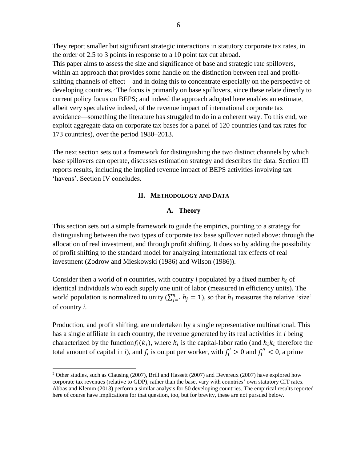They report smaller but significant strategic interactions in statutory corporate tax rates, in the order of 2.5 to 3 points in response to a 10 point tax cut abroad. This paper aims to assess the size and significance of base and strategic rate spillovers, within an approach that provides some handle on the distinction between real and profitshifting channels of effect—and in doing this to concentrate especially on the perspective of developing countries.<sup>5</sup> The focus is primarily on base spillovers, since these relate directly to current policy focus on BEPS; and indeed the approach adopted here enables an estimate, albeit very speculative indeed, of the revenue impact of international corporate tax avoidance—something the literature has struggled to do in a coherent way. To this end, we exploit aggregate data on corporate tax bases for a panel of 120 countries (and tax rates for 173 countries), over the period 1980–2013.

The next section sets out a framework for distinguishing the two distinct channels by which base spillovers can operate, discusses estimation strategy and describes the data. Section III reports results, including the implied revenue impact of BEPS activities involving tax 'havens'. Section IV concludes.

#### **II. METHODOLOGY AND DATA**

#### **A. Theory**

This section sets out a simple framework to guide the empirics, pointing to a strategy for distinguishing between the two types of corporate tax base spillover noted above: through the allocation of real investment, and through profit shifting. It does so by adding the possibility of profit shifting to the standard model for analyzing international tax effects of real investment (Zodrow and Mieskowski (1986) and Wilson (1986)).

Consider then a world of *n* countries, with country *i* populated by a fixed number  $h_i$  of identical individuals who each supply one unit of labor (measured in efficiency units). The world population is normalized to unity  $(\sum_{j=1}^{n} h_j = 1)$ , so that  $h_i$  measures the relative 'size' of country *i*.

Production, and profit shifting, are undertaken by a single representative multinational. This has a single affiliate in each country, the revenue generated by its real activities in *i* being characterized by the function $f_i(k_i)$ , where  $k_i$  is the capital-labor ratio (and  $h_i k_i$  therefore the total amount of capital in *i*), and  $f_i$  is output per worker, with  $f'_i > 0$  and  $f''_i < 0$ , a prime

 $5$  Other studies, such as Clausing (2007), Brill and Hassett (2007) and Devereux (2007) have explored how corporate tax revenues (relative to GDP), rather than the base, vary with countries' own statutory CIT rates. Abbas and Klemm (2013) perform a similar analysis for 50 developing countries. The empirical results reported here of course have implications for that question, too, but for brevity, these are not pursued below.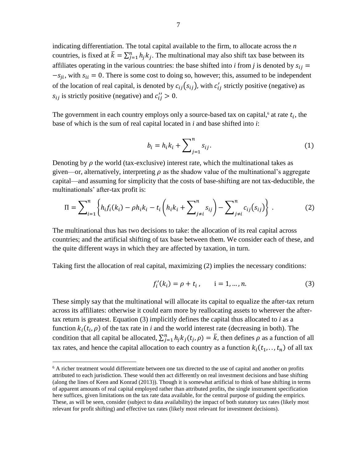indicating differentiation. The total capital available to the firm, to allocate across the *n*  countries, is fixed at  $\bar{k} = \sum_{j=1}^{n} h_j k_j$ . The multinational may also shift tax base between its affiliates operating in the various countries: the base shifted into *i* from *j* is denoted by  $s_{ij}$  =  $-s_{ji}$ , with  $s_{ii} = 0$ . There is some cost to doing so, however; this, assumed to be independent of the location of real capital, is denoted by  $c_{ij}(s_{ij})$ , with  $c'_{ij}$  strictly positive (negative) as  $s_{ij}$  is strictly positive (negative) and  $c''_{ij} > 0$ .

The government in each country employs only a source-based tax on capital,<sup>6</sup> at rate  $t_i$ , the base of which is the sum of real capital located in *i* and base shifted into *i*:

$$
b_i = h_i k_i + \sum_{j=1}^n s_{ij}.
$$
 (1)

Denoting by  $\rho$  the world (tax-exclusive) interest rate, which the multinational takes as given—or, alternatively, interpreting  $\rho$  as the shadow value of the multinational's aggregate capital—and assuming for simplicity that the costs of base-shifting are not tax-deductible, the multinationals' after-tax profit is:

$$
\Pi = \sum_{i=1}^{n} \left\{ h_i f_i(k_i) - \rho h_i k_i - t_i \left( h_i k_i + \sum_{j \neq i}^{n} s_{ij} \right) - \sum_{j \neq i}^{n} c_{ij} (s_{ij}) \right\} .
$$
 (2)

The multinational thus has two decisions to take: the allocation of its real capital across countries; and the artificial shifting of tax base between them. We consider each of these, and the quite different ways in which they are affected by taxation, in turn.

Taking first the allocation of real capital, maximizing (2) implies the necessary conditions:

$$
f'_{i}(k_{i}) = \rho + t_{i}, \qquad i = 1, ..., n.
$$
 (3)

These simply say that the multinational will allocate its capital to equalize the after-tax return across its affiliates: otherwise it could earn more by reallocating assets to wherever the aftertax return is greatest. Equation (3) implicitly defines the capital thus allocated to *i* as a function  $k_i(t_i, \rho)$  of the tax rate in *i* and the world interest rate (decreasing in both). The condition that all capital be allocated,  $\sum_{j=1}^{n} h_j k_j(t_j, \rho) = \overline{k}$ , then defines  $\rho$  as a function of all tax rates, and hence the capital allocation to each country as a function  $k_i(t_1, \ldots, t_n)$  of all tax

 $6$  A richer treatment would differentiate between one tax directed to the use of capital and another on profits attributed to each jurisdiction. These would then act differently on real investment decisions and base shifting (along the lines of Keen and Konrad (2013)). Though it is somewhat artificial to think of base shifting in terms of apparent amounts of real capital employed rather than attributed profits, the single instrument specification here suffices, given limitations on the tax rate data available, for the central purpose of guiding the empirics. These, as will be seen, consider (subject to data availability) the impact of both statutory tax rates (likely most relevant for profit shifting) and effective tax rates (likely most relevant for investment decisions).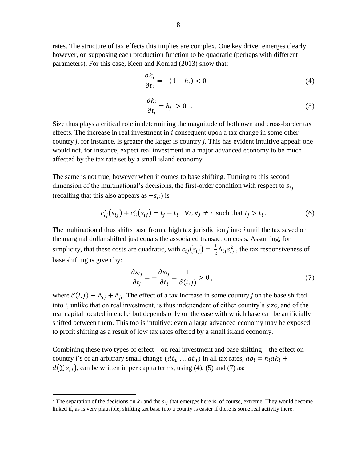rates. The structure of tax effects this implies are complex. One key driver emerges clearly, however, on supposing each production function to be quadratic (perhaps with different parameters). For this case, Keen and Konrad (2013) show that:

$$
\frac{\partial k_i}{\partial t_i} = -(1 - h_i) < 0 \tag{4}
$$

$$
\frac{\partial k_i}{\partial t_j} = h_j > 0 \quad . \tag{5}
$$

Size thus plays a critical role in determining the magnitude of both own and cross-border tax effects. The increase in real investment in *i* consequent upon a tax change in some other country *j,* for instance, is greater the larger is country *j.* This has evident intuitive appeal: one would not, for instance, expect real investment in a major advanced economy to be much affected by the tax rate set by a small island economy.

The same is not true, however when it comes to base shifting. Turning to this second dimension of the multinational's decisions, the first-order condition with respect to  $s_{ij}$ (recalling that this also appears as  $-s_{ii}$ ) is

$$
c'_{ij}(s_{ij}) + c'_{ji}(s_{ij}) = t_j - t_i \quad \forall i, \forall j \neq i \text{ such that } t_j > t_i.
$$
 (6)

The multinational thus shifts base from a high tax jurisdiction *j* into *i* until the tax saved on the marginal dollar shifted just equals the associated transaction costs. Assuming, for simplicity, that these costs are quadratic, with  $c_{ij}(s_{ij}) = \frac{1}{2}$  $\frac{1}{2}\Delta_{ij} s_{ij}^2$ , the tax responsiveness of base shifting is given by:

$$
\frac{\partial s_{ij}}{\partial t_j} = -\frac{\partial s_{ij}}{\partial t_i} = \frac{1}{\delta(i,j)} > 0 \tag{7}
$$

where  $\delta(i, j) \equiv \Delta_{ij} + \Delta_{ji}$ . The effect of a tax increase in some country *j* on the base shifted into *i,* unlike that on real investment, is thus independent of either country's size, and of the real capital located in each,<sup>7</sup> but depends only on the ease with which base can be artificially shifted between them. This too is intuitive: even a large advanced economy may be exposed to profit shifting as a result of low tax rates offered by a small island economy.

Combining these two types of effect—on real investment and base shifting—the effect on country *i*'s of an arbitrary small change  $(dt_1, ..., dt_n)$  in all tax rates,  $db_i = h_i dk_i +$  $d(\sum s_{ij})$ , can be written in per capita terms, using (4), (5) and (7) as:

<sup>&</sup>lt;sup>7</sup> The separation of the decisions on  $k_i$  and the  $s_{ij}$  that emerges here is, of course, extreme, They would become linked if, as is very plausible, shifting tax base into a county is easier if there is some real activity there.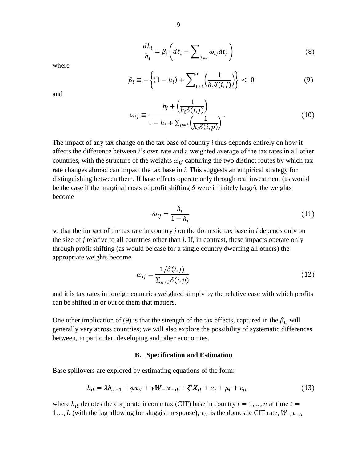$$
\frac{d b_i}{h_i} = \beta_i \left( dt_i - \sum_{j \neq i} \omega_{ij} dt_j \right)
$$
 (8)

where

$$
\beta_i \equiv -\left\{ (1 - h_i) + \sum_{j \neq i}^n \left( \frac{1}{h_i \delta(i, j)} \right) \right\} < 0 \tag{9}
$$

and

$$
\omega_{ij} \equiv \frac{h_j + \left(\frac{1}{h_i \delta(i, j)}\right)}{1 - h_i + \sum_{p \neq i} \left(\frac{1}{h_i \delta(i, p)}\right)}.
$$
(10)

The impact of any tax change on the tax base of country *i* thus depends entirely on how it affects the difference between *i*'s own rate and a weighted average of the tax rates in all other countries, with the structure of the weights  $\omega_{ij}$  capturing the two distinct routes by which tax rate changes abroad can impact the tax base in *i*. This suggests an empirical strategy for distinguishing between them. If base effects operate only through real investment (as would be the case if the marginal costs of profit shifting  $\delta$  were infinitely large), the weights become

$$
\omega_{ij} = \frac{h_j}{1 - h_i} \tag{11}
$$

so that the impact of the tax rate in country *j* on the domestic tax base in *i* depends only on the size of *j* relative to all countries other than *i*. If, in contrast, these impacts operate only through profit shifting (as would be case for a single country dwarfing all others) the appropriate weights become

$$
\omega_{ij} = \frac{1/\delta(i,j)}{\sum_{p \neq i} \delta(i,p)}\tag{12}
$$

and it is tax rates in foreign countries weighted simply by the relative ease with which profits can be shifted in or out of them that matters.

One other implication of (9) is that the strength of the tax effects, captured in the  $\beta_i$ , will generally vary across countries; we will also explore the possibility of systematic differences between, in particular, developing and other economies.

#### **B. Specification and Estimation**

Base spillovers are explored by estimating equations of the form:

$$
b_{it} = \lambda b_{it-1} + \varphi \tau_{it} + \gamma W_{-i} \tau_{-it} + \zeta' X_{it} + \alpha_i + \mu_t + \varepsilon_{it}
$$
\n(13)

where  $b_{it}$  denotes the corporate income tax (CIT) base in country  $i = 1, \ldots, n$  at time  $t =$ 1, .., *L* (with the lag allowing for sluggish response),  $\tau_{it}$  is the domestic CIT rate,  $W_{-i}\tau_{-it}$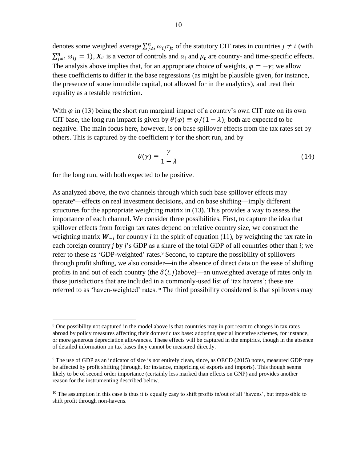denotes some weighted average  $\sum_{j\neq i}^{n} \omega_{ij} \tau_{jt}$  of the statutory CIT rates in countries  $j \neq i$  (with  $\sum_{j=1}^n \omega_{ij} = 1$ ),  $X_{it}$  is a vector of controls and  $\alpha_i$  and  $\mu_t$  are country- and time-specific effects. The analysis above implies that, for an appropriate choice of weights,  $\varphi = -\gamma$ ; we allow these coefficients to differ in the base regressions (as might be plausible given, for instance, the presence of some immobile capital, not allowed for in the analytics), and treat their equality as a testable restriction.

With  $\varphi$  in (13) being the short run marginal impact of a country's own CIT rate on its own CIT base, the long run impact is given by  $\theta(\varphi) \equiv \varphi/(1 - \lambda)$ ; both are expected to be negative. The main focus here, however, is on base spillover effects from the tax rates set by others. This is captured by the coefficient  $\gamma$  for the short run, and by

$$
\theta(\gamma) \equiv \frac{\gamma}{1 - \lambda} \tag{14}
$$

for the long run, with both expected to be positive.

 $\overline{a}$ 

As analyzed above, the two channels through which such base spillover effects may operate8—effects on real investment decisions, and on base shifting—imply different structures for the appropriate weighting matrix in (13). This provides a way to assess the importance of each channel. We consider three possibilities. First, to capture the idea that spillover effects from foreign tax rates depend on relative country size, we construct the weighting matrix  $W_{-i}$  for country *i* in the spirit of equation (11), by weighting the tax rate in each foreign country *j* by *j*'s GDP as a share of the total GDP of all countries other than *i*; we refer to these as 'GDP-weighted' rates.<sup>9</sup> Second, to capture the possibility of spillovers through profit shifting, we also consider—in the absence of direct data on the ease of shifting profits in and out of each country (the  $\delta(i,j)$ above)—an unweighted average of rates only in those jurisdictions that are included in a commonly-used list of 'tax havens'; these are referred to as 'haven-weighted' rates.<sup>10</sup> The third possibility considered is that spillovers may

<sup>&</sup>lt;sup>8</sup> One possibility not captured in the model above is that countries may in part react to changes in tax rates abroad by policy measures affecting their domestic tax base: adopting special incentive schemes, for instance, or more generous depreciation allowances. These effects will be captured in the empirics, though in the absence of detailed information on tax bases they cannot be measured directly.

<sup>9</sup> The use of GDP as an indicator of size is not entirely clean, since, as OECD (2015) notes, measured GDP may be affected by profit shifting (through, for instance, mispricing of exports and imports). This though seems likely to be of second order importance (certainly less marked than effects on GNP) and provides another reason for the instrumenting described below.

<sup>&</sup>lt;sup>10</sup> The assumption in this case is thus it is equally easy to shift profits in/out of all 'havens', but impossible to shift profit through non-havens.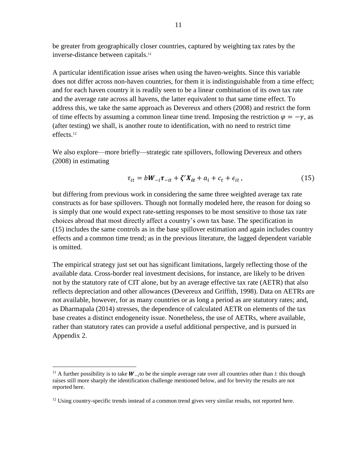be greater from geographically closer countries, captured by weighting tax rates by the inverse-distance between capitals.<sup>11</sup>

A particular identification issue arises when using the haven-weights. Since this variable does not differ across non-haven countries, for them it is indistinguishable from a time effect; and for each haven country it is readily seen to be a linear combination of its own tax rate and the average rate across all havens, the latter equivalent to that same time effect. To address this, we take the same approach as Devereux and others (2008) and restrict the form of time effects by assuming a common linear time trend. Imposing the restriction  $\varphi = -\gamma$ , as (after testing) we shall, is another route to identification, with no need to restrict time effects.<sup>12</sup>

We also explore—more briefly—strategic rate spillovers, following Devereux and others (2008) in estimating

$$
\tau_{it} = bW_{-i}\tau_{-it} + \zeta'X_{it} + a_i + c_t + \epsilon_{it} \,, \tag{15}
$$

but differing from previous work in considering the same three weighted average tax rate constructs as for base spillovers. Though not formally modeled here, the reason for doing so is simply that one would expect rate-setting responses to be most sensitive to those tax rate choices abroad that most directly affect a country's own tax base. The specification in (15) includes the same controls as in the base spillover estimation and again includes country effects and a common time trend; as in the previous literature, the lagged dependent variable is omitted.

The empirical strategy just set out has significant limitations, largely reflecting those of the available data. Cross-border real investment decisions, for instance, are likely to be driven not by the statutory rate of CIT alone, but by an average effective tax rate (AETR) that also reflects depreciation and other allowances (Devereux and Griffith, 1998). Data on AETRs are not available, however, for as many countries or as long a period as are statutory rates; and, as Dharmapala (2014) stresses, the dependence of calculated AETR on elements of the tax base creates a distinct endogeneity issue. Nonetheless, the use of AETRs, where available, rather than statutory rates can provide a useful additional perspective, and is pursued in Appendix 2.

<sup>&</sup>lt;sup>11</sup> A further possibility is to take  $W_{-i}$  to be the simple average rate over all countries other than *i*: this though raises still more sharply the identification challenge mentioned below, and for brevity the results are not reported here.

 $12$  Using country-specific trends instead of a common trend gives very similar results, not reported here.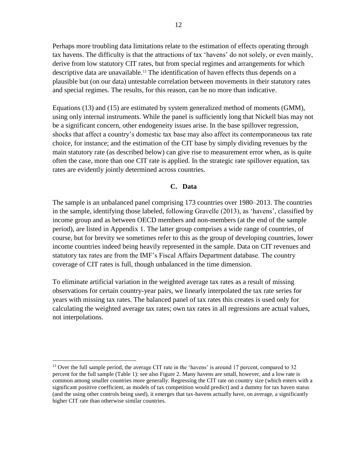Perhaps more troubling data limitations relate to the estimation of effects operating through tax havens. The difficulty is that the attractions of tax 'havens' do not solely, or even mainly, derive from low statutory CIT rates, but from special regimes and arrangements for which descriptive data are unavailable.<sup>13</sup> The identification of haven effects thus depends on a plausible but (on our data) untestable correlation between movements in their statutory rates and special regimes. The results, for this reason, can be no more than indicative.

Equations (13) and (15) are estimated by system generalized method of moments (GMM), using only internal instruments. While the panel is sufficiently long that Nickell bias may not be a significant concern, other endogeneity issues arise. In the base spillover regression, shocks that affect a country's domestic tax base may also affect its contemporaneous tax rate choice, for instance; and the estimation of the CIT base by simply dividing revenues by the main statutory rate (as described below) can give rise to measurement error when, as is quite often the case, more than one CIT rate is applied. In the strategic rate spillover equation, tax rates are evidently jointly determined across countries.

#### **C. Data**

The sample is an unbalanced panel comprising 173 countries over 1980–2013. The countries in the sample, identifying those labeled, following Gravelle (2013), as 'havens', classified by income group and as between OECD members and non-members (at the end of the sample period), are listed in Appendix 1. The latter group comprises a wide range of countries, of course, but for brevity we sometimes refer to this as the group of developing countries, lower income countries indeed being heavily represented in the sample. Data on CIT revenues and statutory tax rates are from the IMF's Fiscal Affairs Department database. The country coverage of CIT rates is full, though unbalanced in the time dimension.

To eliminate artificial variation in the weighted average tax rates as a result of missing observations for certain country-year pairs, we linearly interpolated the tax rate series for years with missing tax rates. The balanced panel of tax rates this creates is used only for calculating the weighted average tax rates; own tax rates in all regressions are actual values, not interpolations.

<sup>&</sup>lt;sup>13</sup> Over the full sample period, the average CIT rate in the 'havens' is around 17 percent, compared to 32 percent for the full sample (Table 1): see also Figure 2. Many havens are small, however, and a low rate is common among smaller countries more generally. Regressing the CIT rate on country size (which enters with a significant positive coefficient, as models of tax competition would predict) and a dummy for tax haven status (and the using other controls being used), it emerges that tax-havens actually have, on average, a significantly higher CIT rate than otherwise similar countries.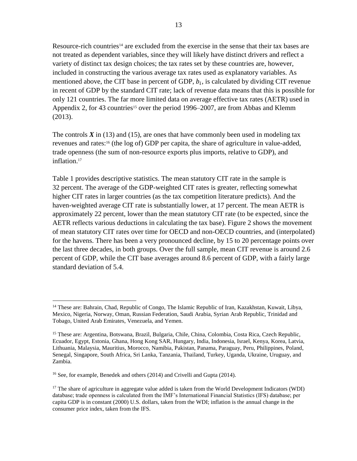Resource-rich countries<sup>14</sup> are excluded from the exercise in the sense that their tax bases are not treated as dependent variables, since they will likely have distinct drivers and reflect a variety of distinct tax design choices; the tax rates set by these countries are, however, included in constructing the various average tax rates used as explanatory variables. As mentioned above, the CIT base in percent of GDP,  $b_i$ , is calculated by dividing CIT revenue in recent of GDP by the standard CIT rate; lack of revenue data means that this is possible for only 121 countries. The far more limited data on average effective tax rates (AETR) used in Appendix 2, for 43 countries<sup>15</sup> over the period 1996–2007, are from Abbas and Klemm (2013).

The controls  $\hat{X}$  in (13) and (15), are ones that have commonly been used in modeling tax revenues and rates:<sup>16</sup> (the log of) GDP per capita, the share of agriculture in value-added, trade openness (the sum of non-resource exports plus imports, relative to GDP), and inflation.<sup>17</sup>

Table 1 provides descriptive statistics. The mean statutory CIT rate in the sample is 32 percent. The average of the GDP-weighted CIT rates is greater, reflecting somewhat higher CIT rates in larger countries (as the tax competition literature predicts). And the haven-weighted average CIT rate is substantially lower, at 17 percent. The mean AETR is approximately 22 percent, lower than the mean statutory CIT rate (to be expected, since the AETR reflects various deductions in calculating the tax base). Figure 2 shows the movement of mean statutory CIT rates over time for OECD and non-OECD countries, and (interpolated) for the havens. There has been a very pronounced decline, by 15 to 20 percentage points over the last three decades, in both groups. Over the full sample, mean CIT revenue is around 2.6 percent of GDP, while the CIT base averages around 8.6 percent of GDP, with a fairly large standard deviation of 5.4.

<sup>&</sup>lt;sup>14</sup> These are: Bahrain, Chad, Republic of Congo, The Islamic Republic of Iran, Kazakhstan, Kuwait, Libya, Mexico, Nigeria, Norway, Oman, Russian Federation, Saudi Arabia, Syrian Arab Republic, Trinidad and Tobago, United Arab Emirates, Venezuela, and Yemen.

<sup>15</sup> These are: Argentina, Botswana, Brazil, Bulgaria, Chile, China, Colombia, Costa Rica, Czech Republic, Ecuador, Egypt, Estonia, Ghana, Hong Kong SAR, Hungary, India, Indonesia, Israel, Kenya, Korea, Latvia, Lithuania, Malaysia, Mauritius, Morocco, Namibia, Pakistan, Panama, Paraguay, Peru, Philippines, Poland, Senegal, Singapore, South Africa, Sri Lanka, Tanzania, Thailand, Turkey, Uganda, Ukraine, Uruguay, and Zambia.

<sup>16</sup> See, for example, Benedek and others (2014) and Crivelli and Gupta (2014).

 $17$  The share of agriculture in aggregate value added is taken from the World Development Indicators (WDI) database; trade openness is calculated from the IMF's International Financial Statistics (IFS) database; per capita GDP is in constant (2000) U.S. dollars, taken from the WDI; inflation is the annual change in the consumer price index, taken from the IFS.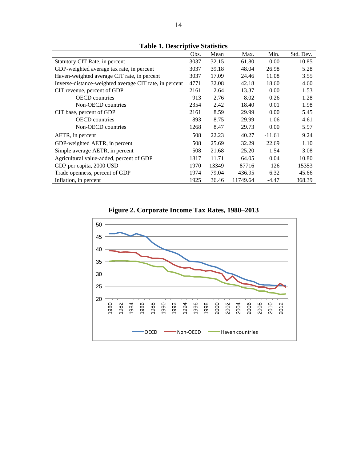|                                                        | Obs. | Mean  | Max.     | Min.     | Std. Dev. |
|--------------------------------------------------------|------|-------|----------|----------|-----------|
| Statutory CIT Rate, in percent                         | 3037 | 32.15 | 61.80    | 0.00     | 10.85     |
| GDP-weighted average tax rate, in percent              | 3037 | 39.18 | 48.04    | 26.98    | 5.28      |
| Haven-weighted average CIT rate, in percent            | 3037 | 17.09 | 24.46    | 11.08    | 3.55      |
| Inverse-distance-weighted average CIT rate, in percent | 4771 | 32.08 | 42.18    | 18.60    | 4.60      |
| CIT revenue, percent of GDP                            | 2161 | 2.64  | 13.37    | 0.00     | 1.53      |
| <b>OECD</b> countries                                  | 913  | 2.76  | 8.02     | 0.26     | 1.28      |
| Non-OECD countries                                     | 2354 | 2.42  | 18.40    | 0.01     | 1.98      |
| CIT base, percent of GDP                               | 2161 | 8.59  | 29.99    | 0.00     | 5.45      |
| <b>OECD</b> countries                                  | 893  | 8.75  | 29.99    | 1.06     | 4.61      |
| Non-OECD countries                                     | 1268 | 8.47  | 29.73    | 0.00     | 5.97      |
| AETR, in percent                                       | 508  | 22.23 | 40.27    | $-11.61$ | 9.24      |
| GDP-weighted AETR, in percent                          | 508  | 25.69 | 32.29    | 22.69    | 1.10      |
| Simple average AETR, in percent                        | 508  | 21.68 | 25.20    | 1.54     | 3.08      |
| Agricultural value-added, percent of GDP               | 1817 | 11.71 | 64.05    | 0.04     | 10.80     |
| GDP per capita, 2000 USD                               | 1970 | 13349 | 87716    | 126      | 15353     |
| Trade openness, percent of GDP                         | 1974 | 79.04 | 436.95   | 6.32     | 45.66     |
| Inflation, in percent                                  | 1925 | 36.46 | 11749.64 | $-4.47$  | 368.39    |
|                                                        |      |       |          |          |           |

**Table 1. Descriptive Statistics**

**Figure 2. Corporate Income Tax Rates, 1980–2013**

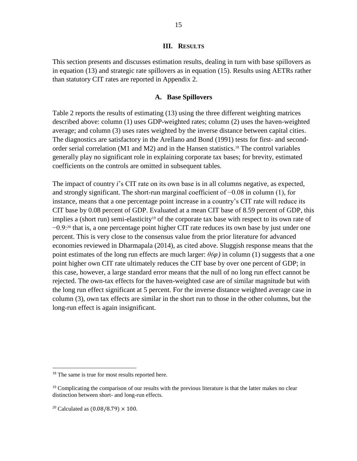#### **III. RESULTS**

This section presents and discusses estimation results, dealing in turn with base spillovers as in equation (13) and strategic rate spillovers as in equation (15). Results using AETRs rather than statutory CIT rates are reported in Appendix 2.

#### **A. Base Spillovers**

Table 2 reports the results of estimating (13) using the three different weighting matrices described above: column (1) uses GDP-weighted rates; column (2) uses the haven-weighted average; and column (3) uses rates weighted by the inverse distance between capital cities. The diagnostics are satisfactory in the Arellano and Bond (1991) tests for first- and secondorder serial correlation (M1 and M2) and in the Hansen statistics. <sup>18</sup> The control variables generally play no significant role in explaining corporate tax bases; for brevity, estimated coefficients on the controls are omitted in subsequent tables.

The impact of country *i*'s CIT rate on its own base is in all columns negative, as expected, and strongly significant. The short-run marginal coefficient of −0.08 in column (1), for instance, means that a one percentage point increase in a country's CIT rate will reduce its CIT base by 0.08 percent of GDP. Evaluated at a mean CIT base of 8.59 percent of GDP, this implies a (short run) semi-elasticity<sup>19</sup> of the corporate tax base with respect to its own rate of −0.9:<sup>20</sup> that is, a one percentage point higher CIT rate reduces its own base by just under one percent. This is very close to the consensus value from the prior literature for advanced economies reviewed in Dharmapala (2014), as cited above. Sluggish response means that the point estimates of the long run effects are much larger:  $\theta(\varphi)$  in column (1) suggests that a one point higher own CIT rate ultimately reduces the CIT base by over one percent of GDP; in this case, however, a large standard error means that the null of no long run effect cannot be rejected. The own-tax effects for the haven-weighted case are of similar magnitude but with the long run effect significant at 5 percent. For the inverse distance weighted average case in column (3), own tax effects are similar in the short run to those in the other columns, but the long-run effect is again insignificant.

<sup>&</sup>lt;sup>18</sup> The same is true for most results reported here.

<sup>&</sup>lt;sup>19</sup> Complicating the comparison of our results with the previous literature is that the latter makes no clear distinction between short- and long-run effects.

<sup>&</sup>lt;sup>20</sup> Calculated as  $(0.08/8.79) \times 100$ .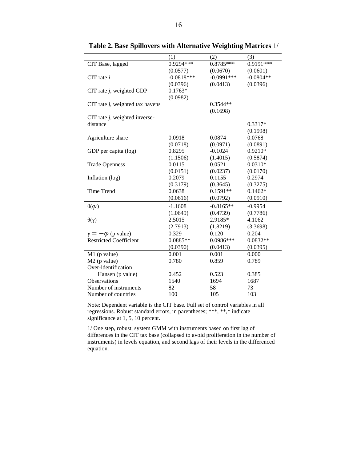|                                    | (1)          | (2)          | (3)         |
|------------------------------------|--------------|--------------|-------------|
| CIT Base, lagged                   | 0.9294***    | $0.8785***$  | $0.9191***$ |
|                                    | (0.0577)     | (0.0670)     | (0.0601)    |
| $CIT$ rate $i$                     | $-0.0818***$ | $-0.0991***$ | $-0.0804**$ |
|                                    | (0.0396)     | (0.0413)     | (0.0396)    |
| CIT rate $j$ , weighted GDP        | $0.1763*$    |              |             |
|                                    | (0.0982)     |              |             |
| CIT rate $j$ , weighted tax havens |              | $0.3544**$   |             |
|                                    |              | (0.1698)     |             |
| CIT rate $j$ , weighted inverse-   |              |              |             |
| distance                           |              |              | $0.3317*$   |
|                                    |              |              | (0.1998)    |
| Agriculture share                  | 0.0918       | 0.0874       | 0.0768      |
|                                    | (0.0718)     | (0.0971)     | (0.0891)    |
| GDP per capita (log)               | 0.8295       | $-0.1024$    | 0.9210*     |
|                                    | (1.1506)     | (1.4015)     | (0.5874)    |
| <b>Trade Openness</b>              | 0.0115       | 0.0521       | $0.0310*$   |
|                                    | (0.0151)     | (0.0237)     | (0.0170)    |
| Inflation (log)                    | 0.2079       | 0.1155       | 0.2974      |
|                                    | (0.3179)     | (0.3645)     | (0.3275)    |
| <b>Time Trend</b>                  | 0.0638       | $0.1591**$   | $0.1462*$   |
|                                    | (0.0616)     | (0.0792)     | (0.0910)    |
| $\theta(\varphi)$                  | $-1.1608$    | $-0.8165**$  | $-0.9954$   |
|                                    | (1.0649)     | (0.4739)     | (0.7786)    |
| $\theta(\gamma)$                   | 2.5015       | 2.9185*      | 4.1062      |
|                                    | (2.7913)     | (1.8219)     | (3.3698)    |
| $\gamma = -\varphi$ (p value)      | 0.329        | 0.120        | 0.204       |
| <b>Restricted Coefficient</b>      | $0.0885**$   | 0.0986***    | $0.0832**$  |
|                                    | (0.0390)     | (0.0413)     | (0.0395)    |
| $M1$ (p value)                     | 0.001        | 0.001        | 0.000       |
| $M2$ (p value)                     | 0.780        | 0.859        | 0.789       |
| Over-identification                |              |              |             |
| Hansen (p value)                   | 0.452        | 0.523        | 0.385       |
| <b>Observations</b>                | 1540         | 1694         | 1687        |
| Number of instruments              | 82           | 58           | 73          |
| Number of countries                | 100          | 105          | 103         |

**Table 2. Base Spillovers with Alternative Weighting Matrices** 1/

Note: Dependent variable is the CIT base. Full set of control variables in all regressions. Robust standard errors, in parentheses; \*\*\*, \*\*,\* indicate significance at 1, 5, 10 percent.

1/ One step, robust, system GMM with instruments based on first lag of differences in the CIT tax base (collapsed to avoid proliferation in the number of instruments) in levels equation, and second lags of their levels in the differenced equation.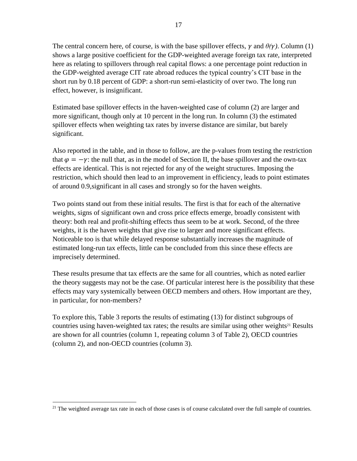The central concern here, of course, is with the base spillover effects,  $\gamma$  and  $\theta(\gamma)$ . Column (1) shows a large positive coefficient for the GDP-weighted average foreign tax rate, interpreted here as relating to spillovers through real capital flows: a one percentage point reduction in the GDP-weighted average CIT rate abroad reduces the typical country's CIT base in the short run by 0.18 percent of GDP: a short-run semi-elasticity of over two. The long run effect, however, is insignificant.

Estimated base spillover effects in the haven-weighted case of column (2) are larger and more significant, though only at 10 percent in the long run. In column (3) the estimated spillover effects when weighting tax rates by inverse distance are similar, but barely significant.

Also reported in the table, and in those to follow, are the p-values from testing the restriction that  $\varphi = -\gamma$ : the null that, as in the model of Section II, the base spillover and the own-tax effects are identical. This is not rejected for any of the weight structures. Imposing the restriction, which should then lead to an improvement in efficiency, leads to point estimates of around 0.9,significant in all cases and strongly so for the haven weights.

Two points stand out from these initial results. The first is that for each of the alternative weights, signs of significant own and cross price effects emerge, broadly consistent with theory: both real and profit-shifting effects thus seem to be at work. Second, of the three weights, it is the haven weights that give rise to larger and more significant effects. Noticeable too is that while delayed response substantially increases the magnitude of estimated long-run tax effects, little can be concluded from this since these effects are imprecisely determined.

These results presume that tax effects are the same for all countries, which as noted earlier the theory suggests may not be the case. Of particular interest here is the possibility that these effects may vary systemically between OECD members and others. How important are they, in particular, for non-members?

To explore this, Table 3 reports the results of estimating (13) for distinct subgroups of countries using haven-weighted tax rates; the results are similar using other weights<sup>21</sup> Results are shown for all countries (column 1, repeating column 3 of Table 2), OECD countries (column 2), and non-OECD countries (column 3).

 $21$  The weighted average tax rate in each of those cases is of course calculated over the full sample of countries.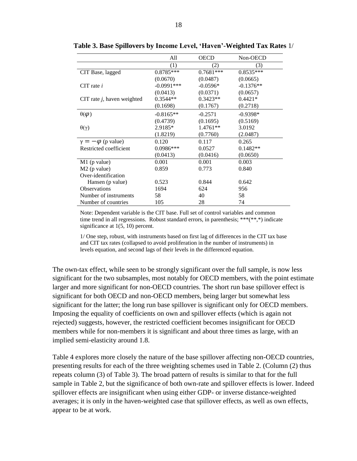|                               | All           | <b>OECD</b> | Non-OECD    |
|-------------------------------|---------------|-------------|-------------|
|                               | (1)           | (2)         | (3)         |
| CIT Base, lagged              | 0.8785***     | $0.7681***$ | $0.8535***$ |
|                               | (0.0670)      | (0.0487)    | (0.0665)    |
| CIT rate $i$                  | $-0.0991$ *** | $-0.0596*$  | $-0.1376**$ |
|                               | (0.0413)      | (0.0371)    | (0.0657)    |
| CIT rate $j$ , haven weighted | $0.3544**$    | $0.3423**$  | $0.4421*$   |
|                               | (0.1698)      | (0.1767)    | (0.2718)    |
| $\theta(\varphi)$             | $-0.8165**$   | $-0.2571$   | $-0.9398*$  |
|                               | (0.4739)      | (0.1695)    | (0.5169)    |
| $\theta(\gamma)$              | 2.9185*       | $1.4761**$  | 3.0192      |
|                               | (1.8219)      | (0.7760)    | (2.0487)    |
| $\gamma = -\varphi$ (p value) | 0.120         | 0.117       | 0.265       |
| Restricted coefficient        | $0.0986***$   | 0.0527      | $0.1482**$  |
|                               | (0.0413)      | (0.0416)    | (0.0650)    |
| $M1$ (p value)                | 0.001         | 0.001       | 0.003       |
| $M2$ (p value)                | 0.859         | 0.773       | 0.840       |
| Over-identification           |               |             |             |
| Hansen (p value)              | 0.523         | 0.844       | 0.642       |
| <b>Observations</b>           | 1694          | 624         | 956         |
| Number of instruments         | 58            | 40          | 58          |
| Number of countries           | 105           | 28          | 74          |

**Table 3. Base Spillovers by Income Level, 'Haven'-Weighted Tax Rates** 1/

Note: Dependent variable is the CIT base. Full set of control variables and common time trend in all regressions. Robust standard errors, in parenthesis; \*\*\*(\*\*,\*) indicate significance at 1(5, 10) percent.

1/ One step, robust, with instruments based on first lag of differences in the CIT tax base and CIT tax rates (collapsed to avoid proliferation in the number of instruments) in levels equation, and second lags of their levels in the differenced equation.

The own-tax effect, while seen to be strongly significant over the full sample, is now less significant for the two subsamples, most notably for OECD members, with the point estimate larger and more significant for non-OECD countries. The short run base spillover effect is significant for both OECD and non-OECD members, being larger but somewhat less significant for the latter; the long run base spillover is significant only for OECD members. Imposing the equality of coefficients on own and spillover effects (which is again not rejected) suggests, however, the restricted coefficient becomes insignificant for OECD members while for non-members it is significant and about three times as large, with an implied semi-elasticity around 1.8.

Table 4 explores more closely the nature of the base spillover affecting non-OECD countries, presenting results for each of the three weighting schemes used in Table 2. (Column (2) thus repeats column (3) of Table 3). The broad pattern of results is similar to that for the full sample in Table 2, but the significance of both own-rate and spillover effects is lower. Indeed spillover effects are insignificant when using either GDP- or inverse distance-weighted averages; it is only in the haven-weighted case that spillover effects, as well as own effects, appear to be at work.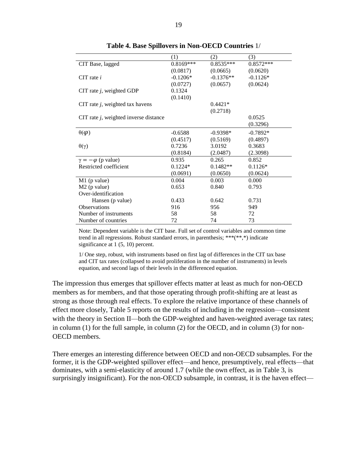|                                          | (1)         | (2)         | (3)         |
|------------------------------------------|-------------|-------------|-------------|
| CIT Base, lagged                         | $0.8169***$ | $0.8535***$ | $0.8572***$ |
|                                          | (0.0817)    | (0.0665)    | (0.0620)    |
| $CIT$ rate i                             | $-0.1206*$  | $-0.1376**$ | $-0.1126*$  |
|                                          | (0.0727)    | (0.0657)    | (0.0624)    |
| CIT rate $j$ , weighted GDP              | 0.1324      |             |             |
|                                          | (0.1410)    |             |             |
| CIT rate $j$ , weighted tax havens       |             | $0.4421*$   |             |
|                                          |             | (0.2718)    |             |
| CIT rate $j$ , weighted inverse distance |             |             | 0.0525      |
|                                          |             |             | (0.3296)    |
| $\theta(\varphi)$                        | $-0.6588$   | $-0.9398*$  | $-0.7892*$  |
|                                          | (0.4517)    | (0.5169)    | (0.4897)    |
| $\theta(\gamma)$                         | 0.7236      | 3.0192      | 0.3683      |
|                                          | (0.8184)    | (2.0487)    | (2.3098)    |
| $\gamma = -\varphi$ (p value)            | 0.935       | 0.265       | 0.852       |
| Restricted coefficient                   | $0.1224*$   | $0.1482**$  | $0.1126*$   |
|                                          | (0.0691)    | (0.0650)    | (0.0624)    |
| $M1$ (p value)                           | 0.004       | 0.003       | 0.000       |
| $M2$ (p value)                           | 0.653       | 0.840       | 0.793       |
| Over-identification                      |             |             |             |
| Hansen (p value)                         | 0.433       | 0.642       | 0.731       |
| <b>Observations</b>                      | 916         | 956         | 949         |
| Number of instruments                    | 58          | 58          | 72          |
| Number of countries                      | 72          | 74          | 73          |

**Table 4. Base Spillovers in Non-OECD Countries** 1/

Note: Dependent variable is the CIT base. Full set of control variables and common time trend in all regressions. Robust standard errors, in parenthesis; \*\*\*(\*\*,\*) indicate significance at 1 (5, 10) percent.

1/ One step, robust, with instruments based on first lag of differences in the CIT tax base and CIT tax rates (collapsed to avoid proliferation in the number of instruments) in levels equation, and second lags of their levels in the differenced equation.

The impression thus emerges that spillover effects matter at least as much for non-OECD members as for members, and that those operating through profit-shifting are at least as strong as those through real effects. To explore the relative importance of these channels of effect more closely, Table 5 reports on the results of including in the regression—consistent with the theory in Section II—both the GDP-weighted and haven-weighted average tax rates; in column (1) for the full sample, in column (2) for the OECD, and in column (3) for non-OECD members.

There emerges an interesting difference between OECD and non-OECD subsamples. For the former, it is the GDP-weighted spillover effect—and hence, presumptively, real effects—that dominates, with a semi-elasticity of around 1.7 (while the own effect, as in Table 3, is surprisingly insignificant). For the non-OECD subsample, in contrast, it is the haven effect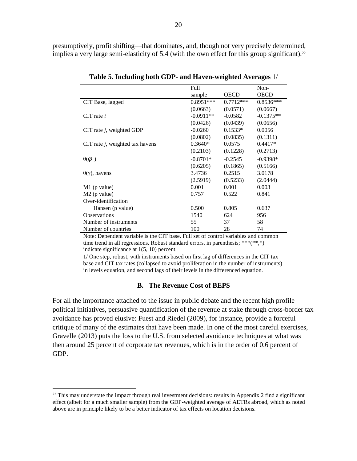presumptively, profit shifting—that dominates, and, though not very precisely determined, implies a very large semi-elasticity of 5.4 (with the own effect for this group significant).<sup>22</sup>

|                                    | Full        |             | Non-        |
|------------------------------------|-------------|-------------|-------------|
|                                    | sample      | <b>OECD</b> | <b>OECD</b> |
| CIT Base, lagged                   | $0.8951***$ | $0.7712***$ | $0.8536***$ |
|                                    | (0.0663)    | (0.0571)    | (0.0667)    |
| CIT rate $i$                       | $-0.0911**$ | $-0.0582$   | $-0.1375**$ |
|                                    | (0.0426)    | (0.0439)    | (0.0656)    |
| CIT rate $j$ , weighted GDP        | $-0.0260$   | $0.1533*$   | 0.0056      |
|                                    | (0.0802)    | (0.0835)    | (0.1311)    |
| CIT rate $j$ , weighted tax havens | $0.3640*$   | 0.0575      | $0.4417*$   |
|                                    | (0.2103)    | (0.1228)    | (0.2713)    |
| $\theta(\varphi)$                  | $-0.8701*$  | $-0.2545$   | $-0.9398*$  |
|                                    | (0.6205)    | (0.1865)    | (0.5166)    |
| $\theta(\gamma)$ , havens          | 3.4736      | 0.2515      | 3.0178      |
|                                    | (2.5919)    | (0.5233)    | (2.0444)    |
| $M1$ (p value)                     | 0.001       | 0.001       | 0.003       |
| $M2$ (p value)                     | 0.757       | 0.522       | 0.841       |
| Over-identification                |             |             |             |
| Hansen (p value)                   | 0.500       | 0.805       | 0.637       |
| <b>Observations</b>                | 1540        | 624         | 956         |
| Number of instruments              | 55          | 37          | 58          |
| Number of countries                | 100         | 28          | 74          |

**Table 5. Including both GDP- and Haven-weighted Averages** 1/

Note: Dependent variable is the CIT base. Full set of control variables and common time trend in all regressions. Robust standard errors, in parenthesis; \*\*\*(\*\*,\*) indicate significance at 1(5, 10) percent.

1/ One step, robust, with instruments based on first lag of differences in the CIT tax base and CIT tax rates (collapsed to avoid proliferation in the number of instruments) in levels equation, and second lags of their levels in the differenced equation.

#### **B. The Revenue Cost of BEPS**

For all the importance attached to the issue in public debate and the recent high profile political initiatives, persuasive quantification of the revenue at stake through cross-border tax avoidance has proved elusive: Fuest and Riedel (2009), for instance, provide a forceful critique of many of the estimates that have been made. In one of the most careful exercises, Gravelle (2013) puts the loss to the U.S. from selected avoidance techniques at what was then around 25 percent of corporate tax revenues, which is in the order of 0.6 percent of GDP.

 $^{22}$  This may understate the impact through real investment decisions: results in Appendix 2 find a significant effect (albeit for a much smaller sample) from the GDP-weighted average of AETRs abroad, which as noted above are in principle likely to be a better indicator of tax effects on location decisions.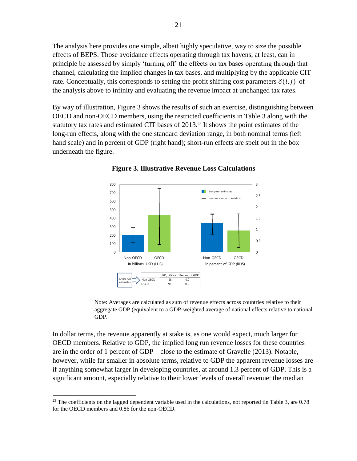The analysis here provides one simple, albeit highly speculative, way to size the possible effects of BEPS. Those avoidance effects operating through tax havens, at least, can in principle be assessed by simply 'turning off' the effects on tax bases operating through that channel, calculating the implied changes in tax bases, and multiplying by the applicable CIT rate. Conceptually, this corresponds to setting the profit shifting cost parameters  $\delta(i, j)$  of the analysis above to infinity and evaluating the revenue impact at unchanged tax rates.

By way of illustration, Figure 3 shows the results of such an exercise, distinguishing between OECD and non-OECD members, using the restricted coefficients in Table 3 along with the statutory tax rates and estimated CIT bases of 2013.<sup>23</sup> It shows the point estimates of the long-run effects, along with the one standard deviation range, in both nominal terms (left hand scale) and in percent of GDP (right hand); short-run effects are spelt out in the box underneath the figure.



**Figure 3. Illustrative Revenue Loss Calculations**

Note: Averages are calculated as sum of revenue effects across countries relative to their aggregate GDP (equivalent to a GDP-weighted average of national effects relative to national GDP.

In dollar terms, the revenue apparently at stake is, as one would expect, much larger for OECD members. Relative to GDP, the implied long run revenue losses for these countries are in the order of 1 percent of GDP—close to the estimate of Gravelle (2013). Notable, however, while far smaller in absolute terms, relative to GDP the apparent revenue losses are if anything somewhat larger in developing countries, at around 1.3 percent of GDP. This is a significant amount, especially relative to their lower levels of overall revenue: the median

<sup>&</sup>lt;sup>23</sup> The coefficients on the lagged dependent variable used in the calculations, not reported tin Table 3, are  $0.78$ for the OECD members and 0.86 for the non-OECD.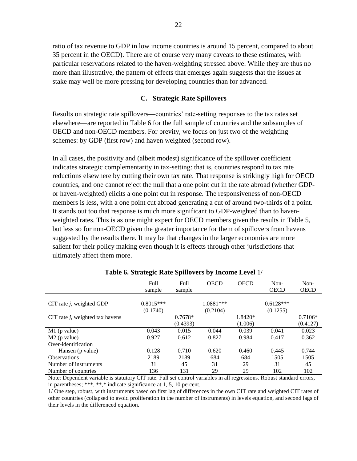ratio of tax revenue to GDP in low income countries is around 15 percent, compared to about 35 percent in the OECD). There are of course very many caveats to these estimates, with particular reservations related to the haven-weighting stressed above. While they are thus no more than illustrative, the pattern of effects that emerges again suggests that the issues at stake may well be more pressing for developing countries than for advanced.

#### **C. Strategic Rate Spillovers**

Results on strategic rate spillovers—countries' rate-setting responses to the tax rates set elsewhere—are reported in Table 6 for the full sample of countries and the subsamples of OECD and non-OECD members. For brevity, we focus on just two of the weighting schemes: by GDP (first row) and haven weighted (second row).

In all cases, the positivity and (albeit modest) significance of the spillover coefficient indicates strategic complementarity in tax-setting: that is, countries respond to tax rate reductions elsewhere by cutting their own tax rate. That response is strikingly high for OECD countries, and one cannot reject the null that a one point cut in the rate abroad (whether GDPor haven-weighted) elicits a one point cut in response. The responsiveness of non-OECD members is less, with a one point cut abroad generating a cut of around two-thirds of a point. It stands out too that response is much more significant to GDP-weighted than to havenweighted rates. This is as one might expect for OECD members given the results in Table 5, but less so for non-OECD given the greater importance for them of spillovers from havens suggested by the results there. It may be that changes in the larger economies are more salient for their policy making even though it is effects through other jurisdictions that ultimately affect them more.

|                                    | Full        | Full      | <b>OECD</b> | <b>OECD</b> | Non-        | Non-        |
|------------------------------------|-------------|-----------|-------------|-------------|-------------|-------------|
|                                    | sample      | sample    |             |             | <b>OECD</b> | <b>OECD</b> |
|                                    |             |           |             |             |             |             |
| CIT rate $j$ , weighted GDP        | $0.8015***$ |           | 1.0881***   |             | $0.6128***$ |             |
|                                    | (0.1740)    |           | (0.2104)    |             | (0.1255)    |             |
| CIT rate $j$ , weighted tax havens |             | $0.7678*$ |             | 1.8420*     |             | $0.7106*$   |
|                                    |             | (0.4393)  |             | (1.006)     |             | (0.4127)    |
| $M1$ (p value)                     | 0.043       | 0.015     | 0.044       | 0.039       | 0.041       | 0.023       |
| $M2$ (p value)                     | 0.927       | 0.612     | 0.827       | 0.984       | 0.417       | 0.362       |
| Over-identification                |             |           |             |             |             |             |
| Hansen (p value)                   | 0.128       | 0.710     | 0.620       | 0.460       | 0.445       | 0.744       |
| <b>Observations</b>                | 2189        | 2189      | 684         | 684         | 1505        | 1505        |
| Number of instruments              | 31          | 45        | 31          | 29          | 31          | 45          |
| Number of countries                | 136         | 131       | 29          | 29          | 102         | 102         |

#### **Table 6. Strategic Rate Spillovers by Income Level** 1/

Note: Dependent variable is statutory CIT rate. Full set control variables in all regressions. Robust standard errors, in parentheses; \*\*\*, \*\*,\* indicate significance at 1, 5, 10 percent.

1/ One step, robust, with instruments based on first lag of differences in the own CIT rate and weighted CIT rates of other countries (collapsed to avoid proliferation in the number of instruments) in levels equation, and second lags of their levels in the differenced equation.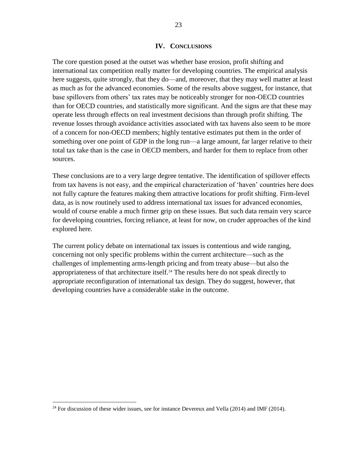#### **IV. CONCLUSIONS**

The core question posed at the outset was whether base erosion, profit shifting and international tax competition really matter for developing countries. The empirical analysis here suggests, quite strongly, that they do—and, moreover, that they may well matter at least as much as for the advanced economies. Some of the results above suggest, for instance, that base spillovers from others' tax rates may be noticeably stronger for non-OECD countries than for OECD countries, and statistically more significant. And the signs are that these may operate less through effects on real investment decisions than through profit shifting. The revenue losses through avoidance activities associated with tax havens also seem to be more of a concern for non-OECD members; highly tentative estimates put them in the order of something over one point of GDP in the long run—a large amount, far larger relative to their total tax take than is the case in OECD members, and harder for them to replace from other sources.

These conclusions are to a very large degree tentative. The identification of spillover effects from tax havens is not easy, and the empirical characterization of 'haven' countries here does not fully capture the features making them attractive locations for profit shifting. Firm-level data, as is now routinely used to address international tax issues for advanced economies, would of course enable a much firmer grip on these issues. But such data remain very scarce for developing countries, forcing reliance, at least for now, on cruder approaches of the kind explored here.

The current policy debate on international tax issues is contentious and wide ranging, concerning not only specific problems within the current architecture—such as the challenges of implementing arms-length pricing and from treaty abuse—but also the appropriateness of that architecture itself.<sup>24</sup> The results here do not speak directly to appropriate reconfiguration of international tax design. They do suggest, however, that developing countries have a considerable stake in the outcome.

<sup>&</sup>lt;sup>24</sup> For discussion of these wider issues, see for instance Devereux and Vella (2014) and IMF (2014).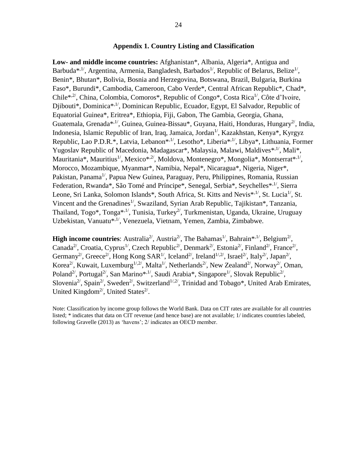#### **Appendix 1. Country Listing and Classification**

**Low- and middle income countries:** Afghanistan\*, Albania, Algeria\*, Antigua and Barbuda\*,<sup>1/</sup>, Argentina, Armenia, Bangladesh, Barbados<sup>1/</sup>, Republic of Belarus, Belize<sup>1/</sup>, Benin\*, Bhutan\*, Bolivia, Bosnia and Herzegovina, Botswana, Brazil, Bulgaria, Burkina Faso\*, Burundi\*, Cambodia, Cameroon, Cabo Verde\*, Central African Republic\*, Chad\*, Chile<sup>\*,2'</sup>, China, Colombia, Comoros<sup>\*</sup>, Republic of Congo<sup>\*</sup>, Costa Rica<sup>1'</sup>, Côte d'Ivoire, Djibouti\*, Dominica\*,1/, Dominican Republic, Ecuador, Egypt, El Salvador, Republic of Equatorial Guinea\*, Eritrea\*, Ethiopia, Fiji, Gabon, The Gambia, Georgia, Ghana, Guatemala, Grenada<sup>\*,1'</sup>, Guinea, Guinea-Bissau<sup>\*</sup>, Guyana, Haiti, Honduras, Hungary<sup>2'</sup>, India, Indonesia, Islamic Republic of Iran, Iraq, Jamaica, Jordan<sup>1/</sup>, Kazakhstan, Kenya\*, Kyrgyz Republic, Lao P.D.R.\*, Latvia, Lebanon\*,<sup>1/</sup>, Lesotho\*, Liberia\*,<sup>1/</sup>, Libya\*, Lithuania, Former Yugoslav Republic of Macedonia, Madagascar<sup>\*</sup>, Malaysia, Malawi, Maldives<sup>\*,1/</sup>, Mali<sup>\*</sup>, Mauritania\*, Mauritius<sup>1/</sup>, Mexico\*<sup>,2/</sup>, Moldova, Montenegro\*, Mongolia\*, Montserrat\*<sup>,1/</sup>, Morocco, Mozambique, Myanmar\*, Namibia, Nepal\*, Nicaragua\*, Nigeria, Niger\*, Pakistan, Panama<sup>1/</sup>, Papua New Guinea, Paraguay, Peru, Philippines, Romania, Russian Federation, Rwanda\*, São Tomé and Príncipe\*, Senegal, Serbia\*, Seychelles\*,<sup>1/</sup>, Sierra Leone, Sri Lanka, Solomon Islands\*, South Africa, St. Kitts and Nevis\*<sup>,1/</sup>, St. Lucia<sup>1/</sup>, St. Vincent and the Grenadines<sup>1</sup>, Swaziland, Syrian Arab Republic, Tajikistan<sup>\*</sup>, Tanzania, Thailand, Togo\*, Tonga\*,<sup>1/</sup>, Tunisia, Turkey<sup>2/</sup>, Turkmenistan, Uganda, Ukraine, Uruguay Uzbekistan, Vanuatu\*<sup>,1/</sup>, Venezuela, Vietnam, Yemen, Zambia, Zimbabwe.

**High income countries:** Australia<sup>2</sup>, Austria<sup>2</sup>, The Bahamas<sup>1</sup>, Bahrain\*,<sup>1</sup>, Belgium<sup>2</sup>, Canada<sup>2'</sup>, Croatia, Cyprus<sup>1'</sup>, Czech Republic<sup>2'</sup>, Denmark<sup>2'</sup>, Estonia<sup>2'</sup>, Finland<sup>2'</sup>, France<sup>2'</sup>, Germany<sup>2/</sup>, Greece<sup>2/</sup>, Hong Kong SAR<sup>1/</sup>, Iceland<sup>2/</sup>, Ireland<sup>1/,2/</sup>, Israel<sup>2/</sup>, Italy<sup>2/</sup>, Japan<sup>2/</sup>, Korea<sup>2/</sup>, Kuwait, Luxemburg<sup>1/,2/</sup>, Malta<sup>1/</sup>, Netherlands<sup>2/</sup>, New Zealand<sup>2/</sup>, Norway<sup>2/</sup>, Oman, Poland<sup>2/</sup>, Portugal<sup>2/</sup>, San Marino\*<sup>,1/</sup>, Saudi Arabia\*, Singapore<sup>1/</sup>, Slovak Republic<sup>2/</sup>, Slovenia<sup>2</sup>, Spain<sup>2</sup>, Sweden<sup>2</sup>, Switzerland<sup>1/2</sup>, Trinidad and Tobago\*, United Arab Emirates, United Kingdom<sup>2/</sup>, United States<sup>2/</sup>.

Note: Classification by income group follows the World Bank. Data on CIT rates are available for all countries listed; \* indicates that data on CIT revenue (and hence base) are not available; 1/ indicates countries labeled, following Gravelle (2013) as 'havens'; 2/ indicates an OECD member.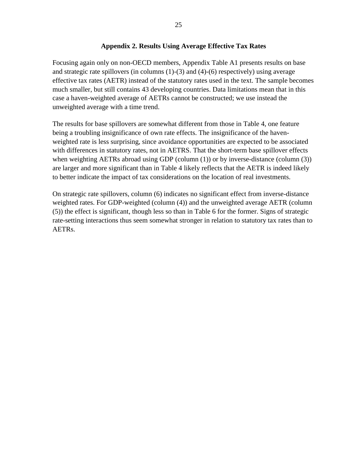#### **Appendix 2. Results Using Average Effective Tax Rates**

Focusing again only on non-OECD members, Appendix Table A1 presents results on base and strategic rate spillovers (in columns (1)-(3) and (4)-(6) respectively) using average effective tax rates (AETR) instead of the statutory rates used in the text. The sample becomes much smaller, but still contains 43 developing countries. Data limitations mean that in this case a haven-weighted average of AETRs cannot be constructed; we use instead the unweighted average with a time trend.

The results for base spillovers are somewhat different from those in Table 4, one feature being a troubling insignificance of own rate effects. The insignificance of the havenweighted rate is less surprising, since avoidance opportunities are expected to be associated with differences in statutory rates, not in AETRS. That the short-term base spillover effects when weighting AETRs abroad using GDP (column (1)) or by inverse-distance (column (3)) are larger and more significant than in Table 4 likely reflects that the AETR is indeed likely to better indicate the impact of tax considerations on the location of real investments.

On strategic rate spillovers, column (6) indicates no significant effect from inverse-distance weighted rates. For GDP-weighted (column (4)) and the unweighted average AETR (column (5)) the effect is significant, though less so than in Table 6 for the former. Signs of strategic rate-setting interactions thus seem somewhat stronger in relation to statutory tax rates than to AETRs.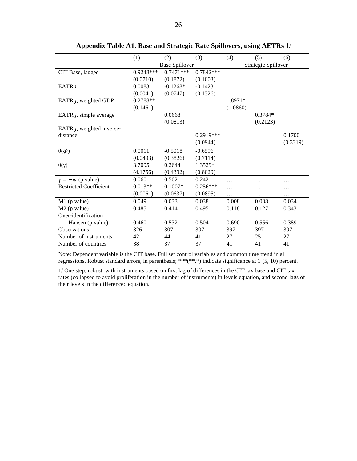|                               | (1)                   | (2)         | (3)         | (4)                 | (5)       | (6)      |
|-------------------------------|-----------------------|-------------|-------------|---------------------|-----------|----------|
|                               | <b>Base Spillover</b> |             |             | Strategic Spillover |           |          |
| CIT Base, lagged              | 0.9248***             | $0.7471***$ | $0.7842***$ |                     |           |          |
|                               | (0.0710)              | (0.1872)    | (0.1003)    |                     |           |          |
| EATR $i$                      | 0.0083                | $-0.1268*$  | $-0.1423$   |                     |           |          |
|                               | (0.0041)              | (0.0747)    | (0.1326)    |                     |           |          |
| EATR $j$ , weighted GDP       | 0.2788**              |             |             | 1.8971*             |           |          |
|                               | (0.1461)              |             |             | (1.0860)            |           |          |
| EATR $j$ , simple average     |                       | 0.0668      |             |                     | $0.3784*$ |          |
|                               |                       | (0.0813)    |             |                     | (0.2123)  |          |
| EATR $j$ , weighted inverse-  |                       |             |             |                     |           |          |
| distance                      |                       |             | $0.2919***$ |                     |           | 0.1700   |
|                               |                       |             | (0.0944)    |                     |           | (0.3319) |
| $\theta(\varphi)$             | 0.0011                | $-0.5018$   | $-0.6596$   |                     |           |          |
|                               | (0.0493)              | (0.3826)    | (0.7114)    |                     |           |          |
| $\theta(\gamma)$              | 3.7095                | 0.2644      | 1.3529*     |                     |           |          |
|                               | (4.1756)              | (0.4392)    | (0.8029)    |                     |           |          |
| $\gamma = -\varphi$ (p value) | 0.060                 | 0.502       | 0.242       | .                   |           | .        |
| <b>Restricted Coefficient</b> | $0.013**$             | $0.1007*$   | $0.256***$  | .                   |           | .        |
|                               | (0.0061)              | (0.0637)    | (0.0895)    | .                   | .         | $\cdots$ |
| $M1$ (p value)                | 0.049                 | 0.033       | 0.038       | 0.008               | 0.008     | 0.034    |
| $M2$ (p value)                | 0.485                 | 0.414       | 0.495       | 0.118               | 0.127     | 0.343    |
| Over-identification           |                       |             |             |                     |           |          |
| Hansen (p value)              | 0.460                 | 0.532       | 0.504       | 0.690               | 0.556     | 0.389    |
| <b>Observations</b>           | 326                   | 307         | 307         | 397                 | 397       | 397      |
| Number of instruments         | 42                    | 44          | 41          | 27                  | 25        | 27       |
| Number of countries           | 38                    | 37          | 37          | 41                  | 41        | 41       |

**Appendix Table A1. Base and Strategic Rate Spillovers, using AETRs** 1/

Note: Dependent variable is the CIT base. Full set control variables and common time trend in all regressions. Robust standard errors, in parenthesis; \*\*\*(\*\*,\*) indicate significance at 1 (5, 10) percent.

1/ One step, robust, with instruments based on first lag of differences in the CIT tax base and CIT tax rates (collapsed to avoid proliferation in the number of instruments) in levels equation, and second lags of their levels in the differenced equation.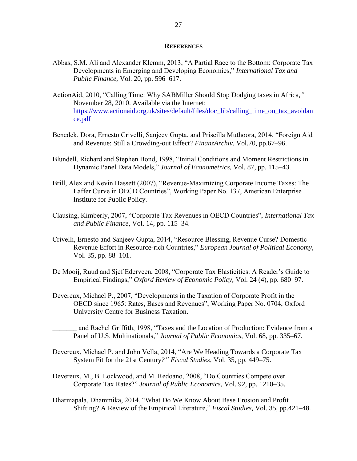#### **REFERENCES**

- Abbas, S.M. Ali and Alexander Klemm, 2013, "A Partial Race to the Bottom: Corporate Tax Developments in Emerging and Developing Economies," *International Tax and Public Finance*, Vol. 20, pp. 596–617.
- ActionAid, 2010, "Calling Time: Why SABMiller Should Stop Dodging taxes in Africa,*"* November 28, 2010. Available via the Internet: [https://www.actionaid.org.uk/sites/default/files/doc\\_lib/calling\\_time\\_on\\_tax\\_avoidan](https://www.actionaid.org.uk/sites/default/files/doc_lib/calling_time_on_tax_avoidance.pdf) [ce.pdf](https://www.actionaid.org.uk/sites/default/files/doc_lib/calling_time_on_tax_avoidance.pdf)
- Benedek, Dora, Ernesto Crivelli, Sanjeev Gupta, and Priscilla Muthoora, 2014, "Foreign Aid and Revenue: Still a Crowding-out Effect? *FinanzArchiv,* Vol.70, pp.67–96.
- Blundell, Richard and Stephen Bond, 1998, "Initial Conditions and Moment Restrictions in Dynamic Panel Data Models," *Journal of Econometrics*, Vol. 87, pp. 115–43.
- Brill, Alex and Kevin Hassett (2007), "Revenue-Maximizing Corporate Income Taxes: The Laffer Curve in OECD Countries", Working Paper No. 137, American Enterprise Institute for Public Policy.
- Clausing, Kimberly, 2007, "Corporate Tax Revenues in OECD Countries", *International Tax and Public Finance*, Vol. 14, pp. 115–34.
- Crivelli, Ernesto and Sanjeev Gupta, 2014, "Resource Blessing, Revenue Curse? Domestic Revenue Effort in Resource-rich Countries," *European Journal of Political Economy,*  Vol. 35, pp. 88–101.
- De Mooij, Ruud and Sjef Ederveen, 2008, "Corporate Tax Elasticities: A Reader's Guide to Empirical Findings," *Oxford Review of Economic Policy*, Vol. 24 (4), pp. 680–97.
- Devereux, Michael P., 2007, "Developments in the Taxation of Corporate Profit in the OECD since 1965: Rates, Bases and Revenues", Working Paper No. 0704, Oxford University Centre for Business Taxation.
	- \_\_\_\_\_\_\_ and Rachel Griffith, 1998, "Taxes and the Location of Production: Evidence from a Panel of U.S. Multinationals," *Journal of Public Economics*, Vol. 68, pp. 335–67.
- Devereux, Michael P. and John Vella, 2014, "Are We Heading Towards a Corporate Tax System Fit for the 21st Century*?" Fiscal Studies*, Vol. 35, pp. 449–75.
- Devereux, M., B. Lockwood, and M. Redoano, 2008, "Do Countries Compete over Corporate Tax Rates?" *Journal of Public Economics*, Vol. 92, pp. 1210–35.
- Dharmapala, Dhammika, 2014, "What Do We Know About Base Erosion and Profit Shifting? A Review of the Empirical Literature," *Fiscal Studies,* Vol. 35, pp.421–48.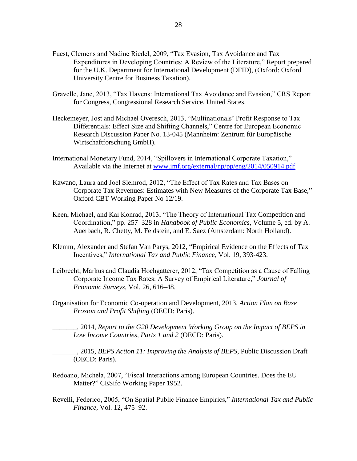- Fuest, Clemens and Nadine Riedel, 2009, "Tax Evasion, Tax Avoidance and Tax Expenditures in Developing Countries: A Review of the Literature," Report prepared for the U.K. Department for International Development (DFID), (Oxford: Oxford University Centre for Business Taxation).
- Gravelle, Jane, 2013, "Tax Havens: International Tax Avoidance and Evasion," CRS Report for Congress, Congressional Research Service, United States.
- Heckemeyer, Jost and Michael Overesch, 2013, "Multinationals' Profit Response to Tax Differentials: Effect Size and Shifting Channels," Centre for European Economic Research Discussion Paper No. 13-045 (Mannheim: Zentrum für Europäische Wirtschaftforschung GmbH).
- International Monetary Fund, 2014, "Spillovers in International Corporate Taxation," Available via the Internet at [www.imf.org/external/np/pp/eng/2014/050914.pdf](http://www.imf.org/external/np/pp/eng/2014/050914.pdf)
- Kawano, Laura and Joel Slemrod, 2012, "The Effect of Tax Rates and Tax Bases on Corporate Tax Revenues: Estimates with New Measures of the Corporate Tax Base," Oxford CBT Working Paper No 12/19.
- Keen, Michael, and Kai Konrad, 2013, "The Theory of International Tax Competition and Coordination," pp. 257–328 in *Handbook of Public Economics*, Volume 5, ed. by A. Auerbach, R. Chetty, M. Feldstein, and E. Saez (Amsterdam: North Holland).
- Klemm, Alexander and Stefan Van Parys, 2012, "Empirical Evidence on the Effects of Tax Incentives," *International Tax and Public Finance*, Vol. 19, 393-423.
- Leibrecht, Markus and Claudia Hochgatterer, 2012, "Tax Competition as a Cause of Falling Corporate Income Tax Rates: A Survey of Empirical Literature," *Journal of Economic Surveys*, Vol. 26, 616–48.
- Organisation for Economic Co-operation and Development, 2013, *Action Plan on Base Erosion and Profit Shifting* (OECD: Paris).

\_\_\_\_\_\_\_, 2014, *Report to the G20 Development Working Group on the Impact of BEPS in Low Income Countries, Parts 1 and 2* (OECD: Paris).

\_\_\_\_\_\_\_, 2015, *BEPS Action 11: Improving the Analysis of BEPS*, Public Discussion Draft (OECD: Paris).

- Redoano, Michela, 2007, "Fiscal Interactions among European Countries. Does the EU Matter?" CESifo Working Paper 1952.
- Revelli, Federico, 2005, "On Spatial Public Finance Empirics," *International Tax and Public Finance*, Vol. 12, 475–92.